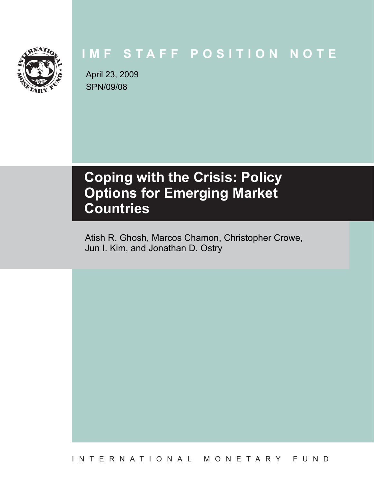

# **IMF STAFF POSITION NOTE**

SPN/09/08 April 23, 2009

# **Coping with the Crisis: Policy Countries Countries**

Atish R. Ghosh, Marcos Chamon, Christopher Crowe, Jun I. Kim, and Jonathan D. Ostry

INTERNATIONAL MONETARY FUND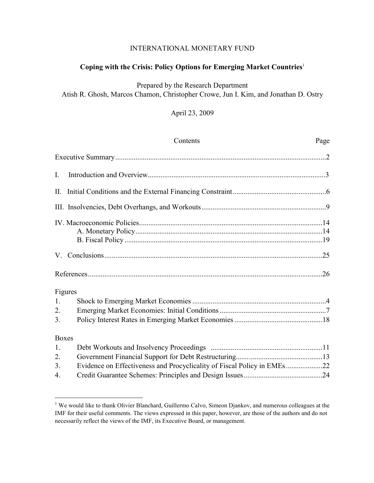# INTERNATIONAL MONETARY FUND

# **Coping with the Crisis: Policy Options for Emerging Market Countries**<sup>1</sup>

Prepared by the Research Department Atish R. Ghosh, Marcos Chamon, Christopher Crowe, Jun I. Kim, and Jonathan D. Ostry

# April 23, 2009

|              | Contents                                                                | Page |
|--------------|-------------------------------------------------------------------------|------|
|              |                                                                         |      |
| I.           |                                                                         |      |
|              |                                                                         |      |
|              |                                                                         |      |
|              |                                                                         |      |
|              |                                                                         |      |
|              |                                                                         |      |
|              | Figures                                                                 |      |
| 1.           |                                                                         |      |
| 2.           |                                                                         |      |
| 3.           |                                                                         |      |
| <b>Boxes</b> |                                                                         |      |
| 1.           |                                                                         |      |
| 2.           |                                                                         |      |
| 3.           | Evidence on Effectiveness and Procyclicality of Fiscal Policy in EMEs22 |      |
| 4.           |                                                                         |      |

<sup>&</sup>lt;sup>1</sup> We would like to thank Olivier Blanchard, Guillermo Calvo, Simeon Djankov, and numerous colleagues at the IMF for their useful comments. The views expressed in this paper, however, are those of the authors and do not necessarily reflect the views of the IMF, its Executive Board, or management.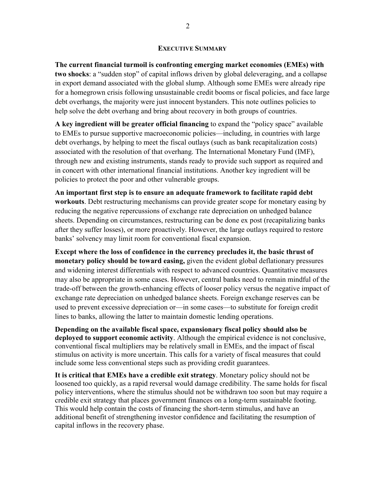#### **EXECUTIVE SUMMARY**

**The current financial turmoil is confronting emerging market economies (EMEs) with two shocks**: a "sudden stop" of capital inflows driven by global deleveraging, and a collapse in export demand associated with the global slump. Although some EMEs were already ripe for a homegrown crisis following unsustainable credit booms or fiscal policies, and face large debt overhangs, the majority were just innocent bystanders. This note outlines policies to help solve the debt overhang and bring about recovery in both groups of countries.

**A key ingredient will be greater official financing** to expand the "policy space" available to EMEs to pursue supportive macroeconomic policies—including, in countries with large debt overhangs, by helping to meet the fiscal outlays (such as bank recapitalization costs) associated with the resolution of that overhang. The International Monetary Fund (IMF), through new and existing instruments, stands ready to provide such support as required and in concert with other international financial institutions. Another key ingredient will be policies to protect the poor and other vulnerable groups.

**An important first step is to ensure an adequate framework to facilitate rapid debt workouts**. Debt restructuring mechanisms can provide greater scope for monetary easing by reducing the negative repercussions of exchange rate depreciation on unhedged balance sheets. Depending on circumstances, restructuring can be done ex post (recapitalizing banks after they suffer losses), or more proactively. However, the large outlays required to restore banks' solvency may limit room for conventional fiscal expansion.

**Except where the loss of confidence in the currency precludes it, the basic thrust of monetary policy should be toward easing,** given the evident global deflationary pressures and widening interest differentials with respect to advanced countries. Quantitative measures may also be appropriate in some cases. However, central banks need to remain mindful of the trade-off between the growth-enhancing effects of looser policy versus the negative impact of exchange rate depreciation on unhedged balance sheets. Foreign exchange reserves can be used to prevent excessive depreciation or—in some cases—to substitute for foreign credit lines to banks, allowing the latter to maintain domestic lending operations.

**Depending on the available fiscal space, expansionary fiscal policy should also be deployed to support economic activity**. Although the empirical evidence is not conclusive, conventional fiscal multipliers may be relatively small in EMEs, and the impact of fiscal stimulus on activity is more uncertain. This calls for a variety of fiscal measures that could include some less conventional steps such as providing credit guarantees.

**It is critical that EMEs have a credible exit strategy**. Monetary policy should not be loosened too quickly, as a rapid reversal would damage credibility. The same holds for fiscal policy interventions, where the stimulus should not be withdrawn too soon but may require a credible exit strategy that places government finances on a long-term sustainable footing. This would help contain the costs of financing the short-term stimulus, and have an additional benefit of strengthening investor confidence and facilitating the resumption of capital inflows in the recovery phase.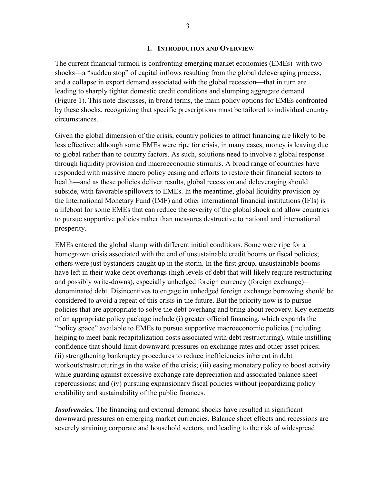#### **I. INTRODUCTION AND OVERVIEW**

The current financial turmoil is confronting emerging market economies (EMEs) with two shocks—a "sudden stop" of capital inflows resulting from the global deleveraging process, and a collapse in export demand associated with the global recession—that in turn are leading to sharply tighter domestic credit conditions and slumping aggregate demand (Figure 1). This note discusses, in broad terms, the main policy options for EMEs confronted by these shocks, recognizing that specific prescriptions must be tailored to individual country circumstances.

Given the global dimension of the crisis, country policies to attract financing are likely to be less effective: although some EMEs were ripe for crisis, in many cases, money is leaving due to global rather than to country factors. As such, solutions need to involve a global response through liquidity provision and macroeconomic stimulus. A broad range of countries have responded with massive macro policy easing and efforts to restore their financial sectors to health—and as these policies deliver results, global recession and deleveraging should subside, with favorable spillovers to EMEs. In the meantime, global liquidity provision by the International Monetary Fund (IMF) and other international financial institutions (IFIs) is a lifeboat for some EMEs that can reduce the severity of the global shock and allow countries to pursue supportive policies rather than measures destructive to national and international prosperity.

EMEs entered the global slump with different initial conditions. Some were ripe for a homegrown crisis associated with the end of unsustainable credit booms or fiscal policies; others were just bystanders caught up in the storm. In the first group, unsustainable booms have left in their wake debt overhangs (high levels of debt that will likely require restructuring and possibly write-downs), especially unhedged foreign currency (foreign exchange)– denominated debt. Disincentives to engage in unhedged foreign exchange borrowing should be considered to avoid a repeat of this crisis in the future. But the priority now is to pursue policies that are appropriate to solve the debt overhang and bring about recovery. Key elements of an appropriate policy package include (i) greater official financing, which expands the "policy space" available to EMEs to pursue supportive macroeconomic policies (including helping to meet bank recapitalization costs associated with debt restructuring), while instilling confidence that should limit downward pressures on exchange rates and other asset prices; (ii) strengthening bankruptcy procedures to reduce inefficiencies inherent in debt workouts/restructurings in the wake of the crisis; (iii) easing monetary policy to boost activity while guarding against excessive exchange rate depreciation and associated balance sheet repercussions; and (iv) pursuing expansionary fiscal policies without jeopardizing policy credibility and sustainability of the public finances.

*Insolvencies.* The financing and external demand shocks have resulted in significant downward pressures on emerging market currencies. Balance sheet effects and recessions are severely straining corporate and household sectors, and leading to the risk of widespread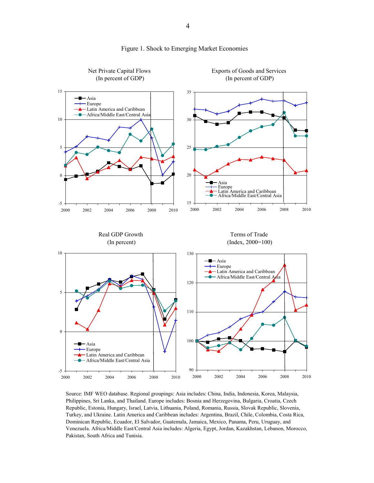

#### Figure 1. Shock to Emerging Market Economies

Source: IMF WEO database. Regional groupings: Asia includes: China, India, Indonesia, Korea, Malaysia, Philippines, Sri Lanka, and Thailand. Europe includes: Bosnia and Herzegovina, Bulgaria, Croatia, Czech Republic, Estonia, Hungary, Israel, Latvia, Lithuania, Poland, Romania, Russia, Slovak Republic, Slovenia, Turkey, and Ukraine. Latin America and Caribbean includes: Argentina, Brazil, Chile, Colombia, Costa Rica, Dominican Republic, Ecuador, El Salvador, Guatemala, Jamaica, Mexico, Panama, Peru, Uruguay, and Venezuela. Africa/Middle East/Central Asia includes: Algeria, Egypt, Jordan, Kazakhstan, Lebanon, Morocco, Pakistan, South Africa and Tunisia.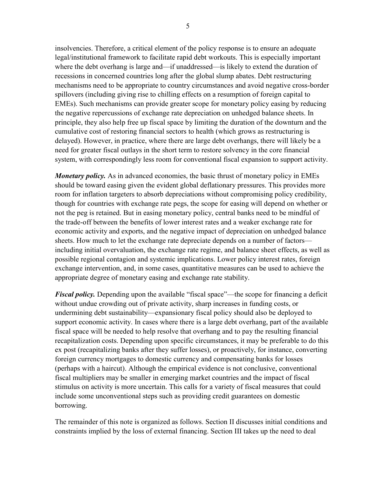insolvencies. Therefore, a critical element of the policy response is to ensure an adequate legal/institutional framework to facilitate rapid debt workouts. This is especially important where the debt overhang is large and—if unaddressed—is likely to extend the duration of recessions in concerned countries long after the global slump abates. Debt restructuring mechanisms need to be appropriate to country circumstances and avoid negative cross-border spillovers (including giving rise to chilling effects on a resumption of foreign capital to EMEs). Such mechanisms can provide greater scope for monetary policy easing by reducing the negative repercussions of exchange rate depreciation on unhedged balance sheets. In principle, they also help free up fiscal space by limiting the duration of the downturn and the cumulative cost of restoring financial sectors to health (which grows as restructuring is delayed). However, in practice, where there are large debt overhangs, there will likely be a

need for greater fiscal outlays in the short term to restore solvency in the core financial

system, with correspondingly less room for conventional fiscal expansion to support activity.

*Monetary policy.* As in advanced economies, the basic thrust of monetary policy in EMEs should be toward easing given the evident global deflationary pressures. This provides more room for inflation targeters to absorb depreciations without compromising policy credibility, though for countries with exchange rate pegs, the scope for easing will depend on whether or not the peg is retained. But in easing monetary policy, central banks need to be mindful of the trade-off between the benefits of lower interest rates and a weaker exchange rate for economic activity and exports, and the negative impact of depreciation on unhedged balance sheets. How much to let the exchange rate depreciate depends on a number of factors including initial overvaluation, the exchange rate regime, and balance sheet effects, as well as possible regional contagion and systemic implications. Lower policy interest rates, foreign exchange intervention, and, in some cases, quantitative measures can be used to achieve the appropriate degree of monetary easing and exchange rate stability.

*Fiscal policy.* Depending upon the available "fiscal space"—the scope for financing a deficit without undue crowding out of private activity, sharp increases in funding costs, or undermining debt sustainability—expansionary fiscal policy should also be deployed to support economic activity. In cases where there is a large debt overhang, part of the available fiscal space will be needed to help resolve that overhang and to pay the resulting financial recapitalization costs. Depending upon specific circumstances, it may be preferable to do this ex post (recapitalizing banks after they suffer losses), or proactively, for instance, converting foreign currency mortgages to domestic currency and compensating banks for losses (perhaps with a haircut). Although the empirical evidence is not conclusive, conventional fiscal multipliers may be smaller in emerging market countries and the impact of fiscal stimulus on activity is more uncertain. This calls for a variety of fiscal measures that could include some unconventional steps such as providing credit guarantees on domestic borrowing.

The remainder of this note is organized as follows. Section II discusses initial conditions and constraints implied by the loss of external financing. Section III takes up the need to deal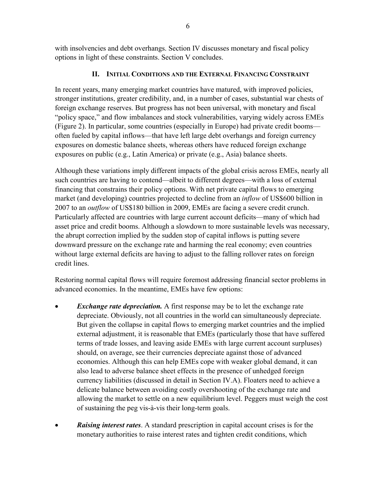with insolvencies and debt overhangs. Section IV discusses monetary and fiscal policy options in light of these constraints. Section V concludes.

# **II. INITIAL CONDITIONS AND THE EXTERNAL FINANCING CONSTRAINT**

In recent years, many emerging market countries have matured, with improved policies, stronger institutions, greater credibility, and, in a number of cases, substantial war chests of foreign exchange reserves. But progress has not been universal, with monetary and fiscal "policy space," and flow imbalances and stock vulnerabilities, varying widely across EMEs (Figure 2). In particular, some countries (especially in Europe) had private credit booms often fueled by capital inflows—that have left large debt overhangs and foreign currency exposures on domestic balance sheets, whereas others have reduced foreign exchange exposures on public (e.g., Latin America) or private (e.g., Asia) balance sheets.

Although these variations imply different impacts of the global crisis across EMEs, nearly all such countries are having to contend—albeit to different degrees—with a loss of external financing that constrains their policy options. With net private capital flows to emerging market (and developing) countries projected to decline from an *inflow* of US\$600 billion in 2007 to an *outflow* of US\$180 billion in 2009, EMEs are facing a severe credit crunch. Particularly affected are countries with large current account deficits—many of which had asset price and credit booms. Although a slowdown to more sustainable levels was necessary, the abrupt correction implied by the sudden stop of capital inflows is putting severe downward pressure on the exchange rate and harming the real economy; even countries without large external deficits are having to adjust to the falling rollover rates on foreign credit lines.

Restoring normal capital flows will require foremost addressing financial sector problems in advanced economies. In the meantime, EMEs have few options:

- **Exchange rate depreciation.** A first response may be to let the exchange rate depreciate. Obviously, not all countries in the world can simultaneously depreciate. But given the collapse in capital flows to emerging market countries and the implied external adjustment, it is reasonable that EMEs (particularly those that have suffered terms of trade losses, and leaving aside EMEs with large current account surpluses) should, on average, see their currencies depreciate against those of advanced economies. Although this can help EMEs cope with weaker global demand, it can also lead to adverse balance sheet effects in the presence of unhedged foreign currency liabilities (discussed in detail in Section IV.A). Floaters need to achieve a delicate balance between avoiding costly overshooting of the exchange rate and allowing the market to settle on a new equilibrium level. Peggers must weigh the cost of sustaining the peg vis-à-vis their long-term goals.
- **Raising interest rates**. A standard prescription in capital account crises is for the monetary authorities to raise interest rates and tighten credit conditions, which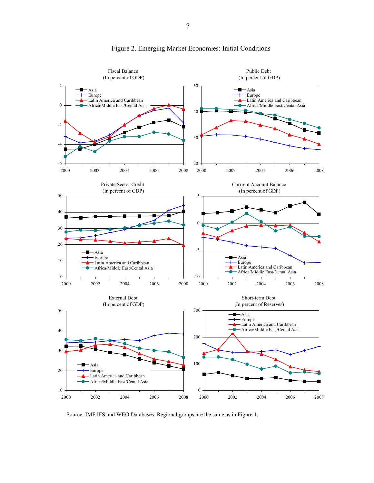

# Figure 2. Emerging Market Economies: Initial Conditions

Source: IMF IFS and WEO Databases. Regional groups are the same as in Figure 1.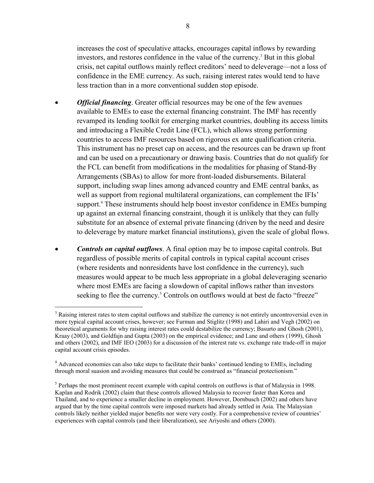increases the cost of speculative attacks, encourages capital inflows by rewarding investors, and restores confidence in the value of the currency.<sup>3</sup> But in this global crisis, net capital outflows mainly reflect creditors' need to deleverage—not a loss of confidence in the EME currency. As such, raising interest rates would tend to have less traction than in a more conventional sudden stop episode.

- *Official financing*. Greater official resources may be one of the few avenues available to EMEs to ease the external financing constraint. The IMF has recently revamped its lending toolkit for emerging market countries, doubling its access limits and introducing a Flexible Credit Line (FCL), which allows strong performing countries to access IMF resources based on rigorous ex ante qualification criteria. This instrument has no preset cap on access, and the resources can be drawn up front and can be used on a precautionary or drawing basis. Countries that do not qualify for the FCL can benefit from modifications in the modalities for phasing of Stand-By Arrangements (SBAs) to allow for more front-loaded disbursements. Bilateral support, including swap lines among advanced country and EME central banks, as well as support from regional multilateral organizations, can complement the IFIs' support.<sup>4</sup> These instruments should help boost investor confidence in EMEs bumping up against an external financing constraint, though it is unlikely that they can fully substitute for an absence of external private financing (driven by the need and desire to deleverage by mature market financial institutions), given the scale of global flows.
- *Controls on capital outflows*. A final option may be to impose capital controls. But regardless of possible merits of capital controls in typical capital account crises (where residents and nonresidents have lost confidence in the currency), such measures would appear to be much less appropriate in a global deleveraging scenario where most EMEs are facing a slowdown of capital inflows rather than investors seeking to flee the currency.<sup>5</sup> Controls on outflows would at best de facto "freeze"

<sup>&</sup>lt;sup>3</sup> Raising interest rates to stem capital outflows and stabilize the currency is not entirely uncontroversial even in more typical capital account crises, however; see Furman and Stiglitz (1998) and Lahiri and Vegh (2002) on theoretical arguments for why raising interest rates could destabilize the currency; Basurto and Ghosh (2001), Kraay (2003), and Goldfajn and Gupta (2003) on the empirical evidence; and Lane and others (1999), Ghosh and others (2002), and IMF IEO (2003) for a discussion of the interest rate vs. exchange rate trade-off in major capital account crisis episodes.

<sup>&</sup>lt;sup>4</sup> Advanced economies can also take steps to facilitate their banks' continued lending to EMEs, including through moral suasion and avoiding measures that could be construed as "financial protectionism."

<sup>&</sup>lt;sup>5</sup> Perhaps the most prominent recent example with capital controls on outflows is that of Malaysia in 1998. Kaplan and Rodrik (2002) claim that these controls allowed Malaysia to recover faster than Korea and Thailand, and to experience a smaller decline in employment. However, Dornbusch (2002) and others have argued that by the time capital controls were imposed markets had already settled in Asia. The Malaysian controls likely neither yielded major benefits nor were very costly. For a comprehensive review of countries' experiences with capital controls (and their liberalization), see Ariyoshi and others (2000).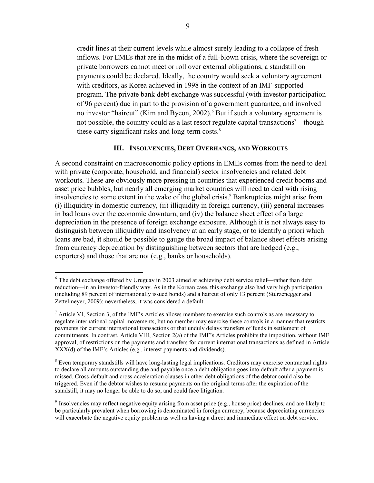credit lines at their current levels while almost surely leading to a collapse of fresh inflows. For EMEs that are in the midst of a full-blown crisis, where the sovereign or private borrowers cannot meet or roll over external obligations, a standstill on payments could be declared. Ideally, the country would seek a voluntary agreement with creditors, as Korea achieved in 1998 in the context of an IMF-supported program. The private bank debt exchange was successful (with investor participation of 96 percent) due in part to the provision of a government guarantee, and involved no investor "haircut" (Kim and Byeon, 2002).<sup>6</sup> But if such a voluntary agreement is not possible, the country could as a last resort regulate capital transactions<sup>7</sup>—though these carry significant risks and long-term costs.<sup>8</sup>

#### **III. INSOLVENCIES, DEBT OVERHANGS, AND WORKOUTS**

A second constraint on macroeconomic policy options in EMEs comes from the need to deal with private (corporate, household, and financial) sector insolvencies and related debt workouts. These are obviously more pressing in countries that experienced credit booms and asset price bubbles, but nearly all emerging market countries will need to deal with rising insolvencies to some extent in the wake of the global crisis.<sup>9</sup> Bankruptcies might arise from (i) illiquidity in domestic currency, (ii) illiquidity in foreign currency, (iii) general increases in bad loans over the economic downturn, and (iv) the balance sheet effect of a large depreciation in the presence of foreign exchange exposure. Although it is not always easy to distinguish between illiquidity and insolvency at an early stage, or to identify a priori which loans are bad, it should be possible to gauge the broad impact of balance sheet effects arising from currency depreciation by distinguishing between sectors that are hedged (e.g., exporters) and those that are not (e.g., banks or households).

<sup>6</sup> The debt exchange offered by Uruguay in 2003 aimed at achieving debt service relief—rather than debt reduction—in an investor-friendly way. As in the Korean case, this exchange also had very high participation (including 89 percent of internationally issued bonds) and a haircut of only 13 percent (Sturzenegger and Zettelmeyer, 2009); nevertheless, it was considered a default.

 $<sup>7</sup>$  Article VI, Section 3, of the IMF's Articles allows members to exercise such controls as are necessary to</sup> regulate international capital movements, but no member may exercise these controls in a manner that restricts payments for current international transactions or that unduly delays transfers of funds in settlement of commitments. In contrast, Article VIII, Section 2(a) of the IMF's Articles prohibits the imposition, without IMF approval, of restrictions on the payments and transfers for current international transactions as defined in Article XXX(d) of the IMF's Articles (e.g., interest payments and dividends).

<sup>&</sup>lt;sup>8</sup> Even temporary standstills will have long-lasting legal implications. Creditors may exercise contractual rights to declare all amounts outstanding due and payable once a debt obligation goes into default after a payment is missed. Cross-default and cross-acceleration clauses in other debt obligations of the debtor could also be triggered. Even if the debtor wishes to resume payments on the original terms after the expiration of the standstill, it may no longer be able to do so, and could face litigation.

<sup>&</sup>lt;sup>9</sup> Insolvencies may reflect negative equity arising from asset price (e.g., house price) declines, and are likely to be particularly prevalent when borrowing is denominated in foreign currency, because depreciating currencies will exacerbate the negative equity problem as well as having a direct and immediate effect on debt service.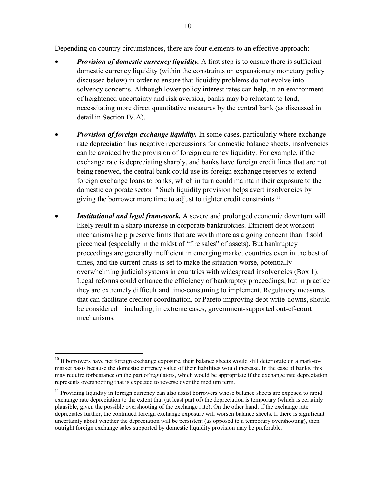Depending on country circumstances, there are four elements to an effective approach:

- *Provision of domestic currency liquidity.* A first step is to ensure there is sufficient domestic currency liquidity (within the constraints on expansionary monetary policy discussed below) in order to ensure that liquidity problems do not evolve into solvency concerns. Although lower policy interest rates can help, in an environment of heightened uncertainty and risk aversion, banks may be reluctant to lend, necessitating more direct quantitative measures by the central bank (as discussed in detail in Section IV.A).
- *Provision of foreign exchange liquidity*. In some cases, particularly where exchange rate depreciation has negative repercussions for domestic balance sheets, insolvencies can be avoided by the provision of foreign currency liquidity. For example, if the exchange rate is depreciating sharply, and banks have foreign credit lines that are not being renewed, the central bank could use its foreign exchange reserves to extend foreign exchange loans to banks, which in turn could maintain their exposure to the domestic corporate sector.10 Such liquidity provision helps avert insolvencies by giving the borrower more time to adjust to tighter credit constraints.<sup>11</sup>
- *Institutional and legal framework.* A severe and prolonged economic downturn will likely result in a sharp increase in corporate bankruptcies. Efficient debt workout mechanisms help preserve firms that are worth more as a going concern than if sold piecemeal (especially in the midst of "fire sales" of assets). But bankruptcy proceedings are generally inefficient in emerging market countries even in the best of times, and the current crisis is set to make the situation worse, potentially overwhelming judicial systems in countries with widespread insolvencies (Box 1). Legal reforms could enhance the efficiency of bankruptcy proceedings, but in practice they are extremely difficult and time-consuming to implement. Regulatory measures that can facilitate creditor coordination, or Pareto improving debt write-downs, should be considered—including, in extreme cases, government-supported out-of-court mechanisms.

1

<sup>&</sup>lt;sup>10</sup> If borrowers have net foreign exchange exposure, their balance sheets would still deteriorate on a mark-tomarket basis because the domestic currency value of their liabilities would increase. In the case of banks, this may require forbearance on the part of regulators, which would be appropriate if the exchange rate depreciation represents overshooting that is expected to reverse over the medium term.

<sup>&</sup>lt;sup>11</sup> Providing liquidity in foreign currency can also assist borrowers whose balance sheets are exposed to rapid exchange rate depreciation to the extent that (at least part of) the depreciation is temporary (which is certainly plausible, given the possible overshooting of the exchange rate). On the other hand, if the exchange rate depreciates further, the continued foreign exchange exposure will worsen balance sheets. If there is significant uncertainty about whether the depreciation will be persistent (as opposed to a temporary overshooting), then outright foreign exchange sales supported by domestic liquidity provision may be preferable.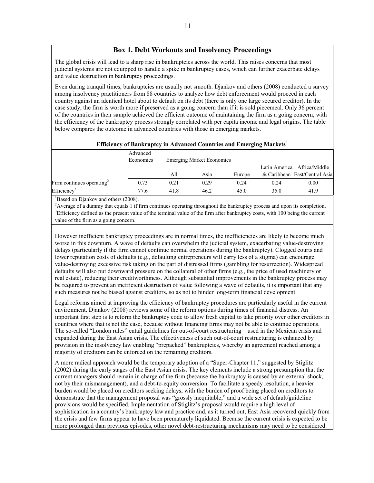# **Box 1. Debt Workouts and Insolvency Proceedings**

The global crisis will lead to a sharp rise in bankruptcies across the world. This raises concerns that most judicial systems are not equipped to handle a spike in bankruptcy cases, which can further exacerbate delays and value destruction in bankruptcy proceedings.

Even during tranquil times, bankruptcies are usually not smooth. Djankov and others (2008) conducted a survey among insolvency practitioners from 88 countries to analyze how debt enforcement would proceed in each country against an identical hotel about to default on its debt (there is only one large secured creditor). In the case study, the firm is worth more if preserved as a going concern than if it is sold piecemeal. Only 36 percent of the countries in their sample achieved the efficient outcome of maintaining the firm as a going concern, with the efficiency of the bankruptcy process strongly correlated with per capita income and legal origins. The table below compares the outcome in advanced countries with those in emerging markets.

| Efficiency of Bankruptcy in Advanced Countries and Emerging Markets <sup>1</sup> |           |                                  |      |        |      |                               |  |  |
|----------------------------------------------------------------------------------|-----------|----------------------------------|------|--------|------|-------------------------------|--|--|
|                                                                                  | Advanced  |                                  |      |        |      |                               |  |  |
|                                                                                  | Economies | <b>Emerging Market Economies</b> |      |        |      |                               |  |  |
|                                                                                  |           |                                  |      |        |      | Latin America Africa/Middle   |  |  |
|                                                                                  |           | All                              | Asia | Europe |      | & Caribbean East/Central Asia |  |  |
| Firm continues operating <sup>2</sup>                                            | 0.73      | 0.21                             | 0.29 | 0.24   | 0.24 | 0.00                          |  |  |
| Efficiency <sup>3</sup>                                                          | 77.6      | 41.8                             | 46.2 | 45.0   | 35.0 | 41.9                          |  |  |

<sup>1</sup>Based on Djankov and others (2008).

<sup>2</sup> Average of a dummy that equals 1 if firm continues operating throughout the bankruptcy process and upon its completion. <sup>3</sup>Efficiency defined as the present value of the terminal value of the firm after bankruptcy costs, with 100 being the current value of the firm as a going concern.

However inefficient bankruptcy proceedings are in normal times, the inefficiencies are likely to become much worse in this downturn. A wave of defaults can overwhelm the judicial system, exacerbating value-destroying delays (particularly if the firm cannot continue normal operations during the bankruptcy). Clogged courts and lower reputation costs of defaults (e.g., defaulting entrepreneurs will carry less of a stigma) can encourage value-destroying excessive risk taking on the part of distressed firms (gambling for resurrection). Widespread defaults will also put downward pressure on the collateral of other firms (e.g., the price of used machinery or real estate), reducing their creditworthiness. Although substantial improvements in the bankruptcy process may be required to prevent an inefficient destruction of value following a wave of defaults, it is important that any such measures not be biased against creditors, so as not to hinder long-term financial development.

Legal reforms aimed at improving the efficiency of bankruptcy procedures are particularly useful in the current environment. Djankov (2008) reviews some of the reform options during times of financial distress. An important first step is to reform the bankruptcy code to allow fresh capital to take priority over other creditors in countries where that is not the case, because without financing firms may not be able to continue operations. The so-called "London rules" entail guidelines for out-of-court restructuring—used in the Mexican crisis and expanded during the East Asian crisis. The effectiveness of such out-of-court restructuring is enhanced by provision in the insolvency law enabling "prepacked" bankruptcies, whereby an agreement reached among a majority of creditors can be enforced on the remaining creditors.

A more radical approach would be the temporary adoption of a "Super-Chapter 11," suggested by Stiglitz (2002) during the early stages of the East Asian crisis. The key elements include a strong presumption that the current managers should remain in charge of the firm (because the bankruptcy is caused by an external shock, not by their mismanagement), and a debt-to-equity conversion. To facilitate a speedy resolution, a heavier burden would be placed on creditors seeking delays, with the burden of proof being placed on creditors to demonstrate that the management proposal was "grossly inequitable," and a wide set of default/guideline provisions would be specified. Implementation of Stiglitz's proposal would require a high level of sophistication in a country's bankruptcy law and practice and, as it turned out, East Asia recovered quickly from the crisis and few firms appear to have been prematurely liquidated. Because the current crisis is expected to be more prolonged than previous episodes, other novel debt-restructuring mechanisms may need to be considered.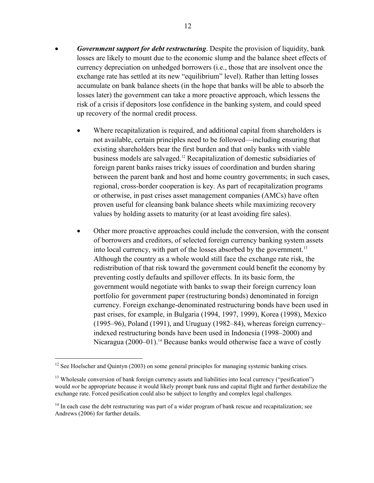- *Government support for debt restructuring*. Despite the provision of liquidity, bank losses are likely to mount due to the economic slump and the balance sheet effects of currency depreciation on unhedged borrowers (i.e., those that are insolvent once the exchange rate has settled at its new "equilibrium" level). Rather than letting losses accumulate on bank balance sheets (in the hope that banks will be able to absorb the losses later) the government can take a more proactive approach, which lessens the risk of a crisis if depositors lose confidence in the banking system, and could speed up recovery of the normal credit process.
	- Where recapitalization is required, and additional capital from shareholders is not available, certain principles need to be followed—including ensuring that existing shareholders bear the first burden and that only banks with viable business models are salvaged.12 Recapitalization of domestic subsidiaries of foreign parent banks raises tricky issues of coordination and burden sharing between the parent bank and host and home country governments; in such cases, regional, cross-border cooperation is key. As part of recapitalization programs or otherwise, in past crises asset management companies (AMCs) have often proven useful for cleansing bank balance sheets while maximizing recovery values by holding assets to maturity (or at least avoiding fire sales).
	- Other more proactive approaches could include the conversion, with the consent of borrowers and creditors, of selected foreign currency banking system assets into local currency, with part of the losses absorbed by the government.<sup>13</sup> Although the country as a whole would still face the exchange rate risk, the redistribution of that risk toward the government could benefit the economy by preventing costly defaults and spillover effects. In its basic form, the government would negotiate with banks to swap their foreign currency loan portfolio for government paper (restructuring bonds) denominated in foreign currency. Foreign exchange-denominated restructuring bonds have been used in past crises, for example, in Bulgaria (1994, 1997, 1999), Korea (1998), Mexico (1995–96), Poland (1991), and Uruguay (1982–84), whereas foreign currency– indexed restructuring bonds have been used in Indonesia (1998–2000) and Nicaragua  $(2000-01)$ .<sup>14</sup> Because banks would otherwise face a wave of costly

<sup>&</sup>lt;sup>12</sup> See Hoelscher and Ouintyn (2003) on some general principles for managing systemic banking crises.

<sup>&</sup>lt;sup>13</sup> Wholesale conversion of bank foreign currency assets and liabilities into local currency ("pesification") would *not* be appropriate because it would likely prompt bank runs and capital flight and further destabilize the exchange rate. Forced pesification could also be subject to lengthy and complex legal challenges.

<sup>&</sup>lt;sup>14</sup> In each case the debt restructuring was part of a wider program of bank rescue and recapitalization; see Andrews (2006) for further details.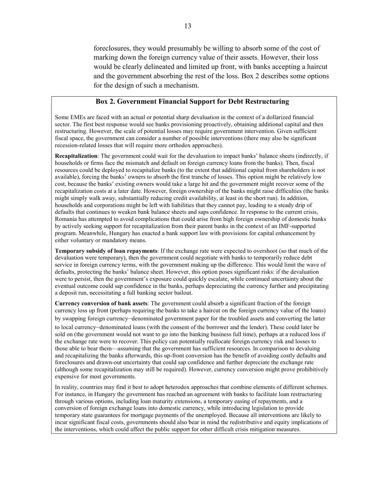foreclosures, they would presumably be willing to absorb some of the cost of marking down the foreign currency value of their assets. However, their loss would be clearly delineated and limited up front, with banks accepting a haircut and the government absorbing the rest of the loss. Box 2 describes some options for the design of such a mechanism.

#### **Box 2. Government Financial Support for Debt Restructuring**

Some EMEs are faced with an actual or potential sharp devaluation in the context of a dollarized financial sector. The first best response would see banks provisioning proactively, obtaining additional capital and then restructuring. However, the scale of potential losses may require government intervention. Given sufficient fiscal space, the government can consider a number of possible interventions (there may also be significant recession-related losses that will require more orthodox approaches).

**Recapitalization**: The government could wait for the devaluation to impact banks' balance sheets (indirectly, if households or firms face the mismatch and default on foreign currency loans from the banks). Then, fiscal resources could be deployed to recapitalize banks (to the extent that additional capital from shareholders is not available), forcing the banks' owners to absorb the first tranche of losses. This option might be relatively low cost, because the banks' existing owners would take a large hit and the government might recover some of the recapitalization costs at a later date. However, foreign ownership of the banks might raise difficulties (the banks might simply walk away, substantially reducing credit availability, at least in the short run). In addition, households and corporations might be left with liabilities that they cannot pay, leading to a steady drip of defaults that continues to weaken bank balance sheets and saps confidence. In response to the current crisis, Romania has attempted to avoid complications that could arise from high foreign ownership of domestic banks by actively seeking support for recapitalization from their parent banks in the context of an IMF-supported program. Meanwhile, Hungary has enacted a bank support law with provisions for capital enhancement by either voluntary or mandatory means.

**Temporary subsidy of loan repayments**: If the exchange rate were expected to overshoot (so that much of the devaluation were temporary), then the government could negotiate with banks to temporarily reduce debt service in foreign currency terms, with the government making up the difference. This would limit the wave of defaults, protecting the banks' balance sheet. However, this option poses significant risks: if the devaluation were to persist, then the government's exposure could quickly escalate, while continued uncertainty about the eventual outcome could sap confidence in the banks, perhaps depreciating the currency further and precipitating a deposit run, necessitating a full banking sector bailout.

**Currency conversion of bank assets**: The government could absorb a significant fraction of the foreign currency loss up front (perhaps requiring the banks to take a haircut on the foreign currency value of the loans) by swapping foreign currency–denominated government paper for the troubled assets and converting the latter

to local currency–denominated loans (with the consent of the borrower and the lender). These could later be sold on (the government would not want to go into the banking business full time), perhaps at a reduced loss if the exchange rate were to recover. This policy can potentially reallocate foreign currency risk and losses to those able to bear them—assuming that the government has sufficient resources. In comparison to devaluing and recapitalizing the banks afterwards, this up-front conversion has the benefit of avoiding costly defaults and foreclosures and drawn-out uncertainty that could sap confidence and further depreciate the exchange rate (although some recapitalization may still be required). However, currency conversion might prove prohibitively expensive for most governments.

In reality, countries may find it best to adopt heterodox approaches that combine elements of different schemes. For instance, in Hungary the government has reached an agreement with banks to facilitate loan restructuring through various options, including loan maturity extensions, a temporary easing of repayments, and a conversion of foreign exchange loans into domestic currency, while introducing legislation to provide temporary state guarantees for mortgage payments of the unemployed. Because all interventions are likely to incur significant fiscal costs, governments should also bear in mind the redistributive and equity implications of the interventions, which could affect the public support for other difficult crisis mitigation measures.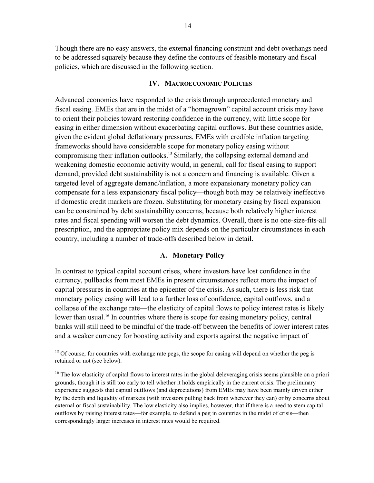Though there are no easy answers, the external financing constraint and debt overhangs need to be addressed squarely because they define the contours of feasible monetary and fiscal policies, which are discussed in the following section.

#### **IV. MACROECONOMIC POLICIES**

Advanced economies have responded to the crisis through unprecedented monetary and fiscal easing. EMEs that are in the midst of a "homegrown" capital account crisis may have to orient their policies toward restoring confidence in the currency, with little scope for easing in either dimension without exacerbating capital outflows. But these countries aside, given the evident global deflationary pressures, EMEs with credible inflation targeting frameworks should have considerable scope for monetary policy easing without compromising their inflation outlooks.<sup>15</sup> Similarly, the collapsing external demand and weakening domestic economic activity would, in general, call for fiscal easing to support demand, provided debt sustainability is not a concern and financing is available. Given a targeted level of aggregate demand/inflation, a more expansionary monetary policy can compensate for a less expansionary fiscal policy—though both may be relatively ineffective if domestic credit markets are frozen. Substituting for monetary easing by fiscal expansion can be constrained by debt sustainability concerns, because both relatively higher interest rates and fiscal spending will worsen the debt dynamics. Overall, there is no one-size-fits-all prescription, and the appropriate policy mix depends on the particular circumstances in each country, including a number of trade-offs described below in detail.

#### **A. Monetary Policy**

In contrast to typical capital account crises, where investors have lost confidence in the currency, pullbacks from most EMEs in present circumstances reflect more the impact of capital pressures in countries at the epicenter of the crisis. As such, there is less risk that monetary policy easing will lead to a further loss of confidence, capital outflows, and a collapse of the exchange rate—the elasticity of capital flows to policy interest rates is likely lower than usual.<sup>16</sup> In countries where there is scope for easing monetary policy, central banks will still need to be mindful of the trade-off between the benefits of lower interest rates and a weaker currency for boosting activity and exports against the negative impact of

<sup>&</sup>lt;sup>15</sup> Of course, for countries with exchange rate pegs, the scope for easing will depend on whether the peg is retained or not (see below).

 $<sup>16</sup>$  The low elasticity of capital flows to interest rates in the global deleveraging crisis seems plausible on a priori</sup> grounds, though it is still too early to tell whether it holds empirically in the current crisis. The preliminary experience suggests that capital outflows (and depreciations) from EMEs may have been mainly driven either by the depth and liquidity of markets (with investors pulling back from wherever they can) or by concerns about external or fiscal sustainability. The low elasticity also implies, however, that if there is a need to stem capital outflows by raising interest rates—for example, to defend a peg in countries in the midst of crisis—then correspondingly larger increases in interest rates would be required.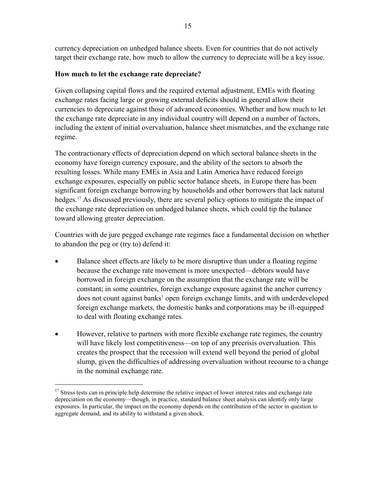currency depreciation on unhedged balance sheets. Even for countries that do not actively target their exchange rate, how much to allow the currency to depreciate will be a key issue.

# **How much to let the exchange rate depreciate?**

Given collapsing capital flows and the required external adjustment, EMEs with floating exchange rates facing large or growing external deficits should in general allow their currencies to depreciate against those of advanced economies. Whether and how much to let the exchange rate depreciate in any individual country will depend on a number of factors, including the extent of initial overvaluation, balance sheet mismatches, and the exchange rate regime.

The contractionary effects of depreciation depend on which sectoral balance sheets in the economy have foreign currency exposure, and the ability of the sectors to absorb the resulting losses. While many EMEs in Asia and Latin America have reduced foreign exchange exposures, especially on public sector balance sheets, in Europe there has been significant foreign exchange borrowing by households and other borrowers that lack natural hedges.<sup>17</sup> As discussed previously, there are several policy options to mitigate the impact of the exchange rate depreciation on unhedged balance sheets, which could tip the balance toward allowing greater depreciation.

Countries with de jure pegged exchange rate regimes face a fundamental decision on whether to abandon the peg or (try to) defend it:

- Balance sheet effects are likely to be more disruptive than under a floating regime because the exchange rate movement is more unexpected—debtors would have borrowed in foreign exchange on the assumption that the exchange rate will be constant; in some countries, foreign exchange exposure against the anchor currency does not count against banks' open foreign exchange limits, and with underdeveloped foreign exchange markets, the domestic banks and corporations may be ill-equipped to deal with floating exchange rates.
- However, relative to partners with more flexible exchange rate regimes, the country will have likely lost competitiveness—on top of any precrisis overvaluation. This creates the prospect that the recession will extend well beyond the period of global slump, given the difficulties of addressing overvaluation without recourse to a change in the nominal exchange rate.

1

<sup>&</sup>lt;sup>17</sup> Stress tests can in principle help determine the relative impact of lower interest rates and exchange rate depreciation on the economy—though, in practice, standard balance sheet analysis can identify only large exposures. In particular, the impact on the economy depends on the contribution of the sector in question to aggregate demand, and its ability to withstand a given shock.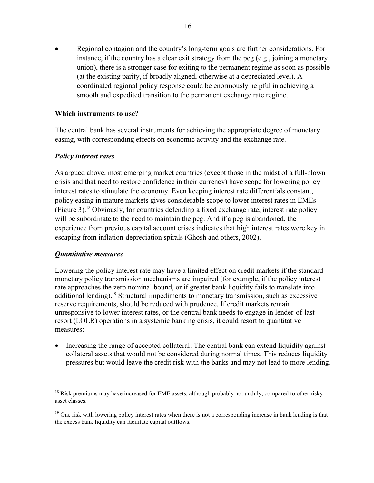• Regional contagion and the country's long-term goals are further considerations. For instance, if the country has a clear exit strategy from the peg (e.g., joining a monetary union), there is a stronger case for exiting to the permanent regime as soon as possible (at the existing parity, if broadly aligned, otherwise at a depreciated level). A coordinated regional policy response could be enormously helpful in achieving a smooth and expedited transition to the permanent exchange rate regime.

# **Which instruments to use?**

The central bank has several instruments for achieving the appropriate degree of monetary easing, with corresponding effects on economic activity and the exchange rate.

#### *Policy interest rates*

As argued above, most emerging market countries (except those in the midst of a full-blown crisis and that need to restore confidence in their currency) have scope for lowering policy interest rates to stimulate the economy. Even keeping interest rate differentials constant, policy easing in mature markets gives considerable scope to lower interest rates in EMEs (Figure 3).18 Obviously, for countries defending a fixed exchange rate, interest rate policy will be subordinate to the need to maintain the peg. And if a peg is abandoned, the experience from previous capital account crises indicates that high interest rates were key in escaping from inflation-depreciation spirals (Ghosh and others, 2002).

# *Quantitative measures*

1

Lowering the policy interest rate may have a limited effect on credit markets if the standard monetary policy transmission mechanisms are impaired (for example, if the policy interest rate approaches the zero nominal bound, or if greater bank liquidity fails to translate into additional lending).<sup>19</sup> Structural impediments to monetary transmission, such as excessive reserve requirements, should be reduced with prudence. If credit markets remain unresponsive to lower interest rates, or the central bank needs to engage in lender-of-last resort (LOLR) operations in a systemic banking crisis, it could resort to quantitative measures:

• Increasing the range of accepted collateral: The central bank can extend liquidity against collateral assets that would not be considered during normal times. This reduces liquidity pressures but would leave the credit risk with the banks and may not lead to more lending.

<sup>&</sup>lt;sup>18</sup> Risk premiums may have increased for EME assets, although probably not unduly, compared to other risky asset classes.

 $19$  One risk with lowering policy interest rates when there is not a corresponding increase in bank lending is that the excess bank liquidity can facilitate capital outflows.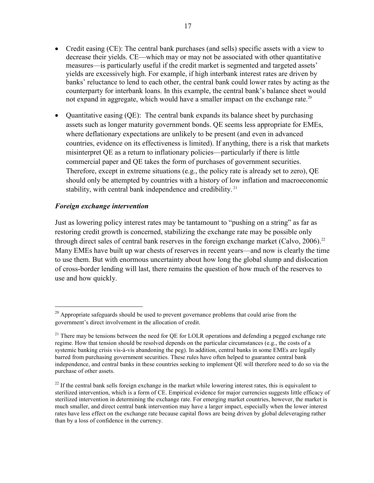- Credit easing (CE): The central bank purchases (and sells) specific assets with a view to decrease their yields. CE—which may or may not be associated with other quantitative measures—is particularly useful if the credit market is segmented and targeted assets' yields are excessively high. For example, if high interbank interest rates are driven by banks' reluctance to lend to each other, the central bank could lower rates by acting as the counterparty for interbank loans. In this example, the central bank's balance sheet would not expand in aggregate, which would have a smaller impact on the exchange rate.<sup>20</sup>
- Quantitative easing (QE): The central bank expands its balance sheet by purchasing assets such as longer maturity government bonds. QE seems less appropriate for EMEs, where deflationary expectations are unlikely to be present (and even in advanced countries, evidence on its effectiveness is limited). If anything, there is a risk that markets misinterpret QE as a return to inflationary policies—particularly if there is little commercial paper and QE takes the form of purchases of government securities. Therefore, except in extreme situations (e.g., the policy rate is already set to zero), QE should only be attempted by countries with a history of low inflation and macroeconomic stability, with central bank independence and credibility.<sup>21</sup>

# *Foreign exchange intervention*

<u>.</u>

Just as lowering policy interest rates may be tantamount to "pushing on a string" as far as restoring credit growth is concerned, stabilizing the exchange rate may be possible only through direct sales of central bank reserves in the foreign exchange market (Calvo,  $2006$ ).<sup>22</sup> Many EMEs have built up war chests of reserves in recent years—and now is clearly the time to use them. But with enormous uncertainty about how long the global slump and dislocation of cross-border lending will last, there remains the question of how much of the reserves to use and how quickly.

 $20$  Appropriate safeguards should be used to prevent governance problems that could arise from the government's direct involvement in the allocation of credit.

<sup>&</sup>lt;sup>21</sup> There may be tensions between the need for QE for LOLR operations and defending a pegged exchange rate regime. How that tension should be resolved depends on the particular circumstances (e.g., the costs of a systemic banking crisis vis-à-vis abandoning the peg). In addition, central banks in some EMEs are legally barred from purchasing government securities. These rules have often helped to guarantee central bank independence, and central banks in these countries seeking to implement QE will therefore need to do so via the purchase of other assets.

 $22$  If the central bank sells foreign exchange in the market while lowering interest rates, this is equivalent to sterilized intervention, which is a form of CE. Empirical evidence for major currencies suggests little efficacy of sterilized intervention in determining the exchange rate. For emerging market countries, however, the market is much smaller, and direct central bank intervention may have a larger impact, especially when the lower interest rates have less effect on the exchange rate because capital flows are being driven by global deleveraging rather than by a loss of confidence in the currency.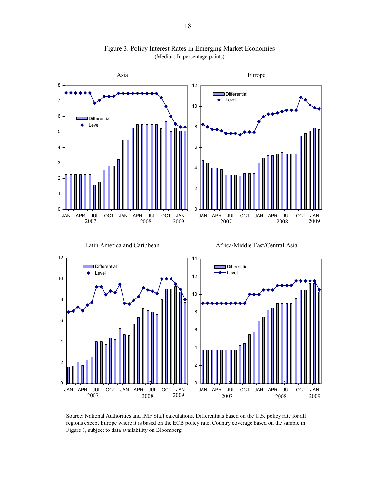

Figure 3. Policy Interest Rates in Emerging Market Economies (Median; In percentage points)

Source: National Authorities and IMF Staff calculations. Differentials based on the U.S. policy rate for all regions except Europe where it is based on the ECB policy rate. Country coverage based on the sample in Figure 1, subject to data availability on Bloomberg.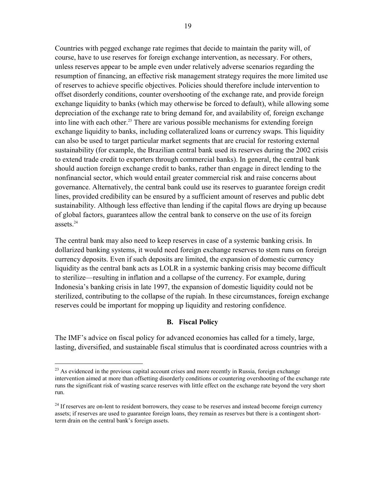Countries with pegged exchange rate regimes that decide to maintain the parity will, of course, have to use reserves for foreign exchange intervention, as necessary. For others, unless reserves appear to be ample even under relatively adverse scenarios regarding the resumption of financing, an effective risk management strategy requires the more limited use of reserves to achieve specific objectives. Policies should therefore include intervention to offset disorderly conditions, counter overshooting of the exchange rate, and provide foreign exchange liquidity to banks (which may otherwise be forced to default), while allowing some depreciation of the exchange rate to bring demand for, and availability of, foreign exchange into line with each other.<sup>23</sup> There are various possible mechanisms for extending foreign exchange liquidity to banks, including collateralized loans or currency swaps. This liquidity can also be used to target particular market segments that are crucial for restoring external sustainability (for example, the Brazilian central bank used its reserves during the 2002 crisis to extend trade credit to exporters through commercial banks). In general, the central bank should auction foreign exchange credit to banks, rather than engage in direct lending to the nonfinancial sector, which would entail greater commercial risk and raise concerns about governance. Alternatively, the central bank could use its reserves to guarantee foreign credit lines, provided credibility can be ensured by a sufficient amount of reserves and public debt sustainability. Although less effective than lending if the capital flows are drying up because of global factors, guarantees allow the central bank to conserve on the use of its foreign assets $24$ 

The central bank may also need to keep reserves in case of a systemic banking crisis. In dollarized banking systems, it would need foreign exchange reserves to stem runs on foreign currency deposits. Even if such deposits are limited, the expansion of domestic currency liquidity as the central bank acts as LOLR in a systemic banking crisis may become difficult to sterilize—resulting in inflation and a collapse of the currency. For example, during Indonesia's banking crisis in late 1997, the expansion of domestic liquidity could not be sterilized, contributing to the collapse of the rupiah. In these circumstances, foreign exchange reserves could be important for mopping up liquidity and restoring confidence.

# **B. Fiscal Policy**

The IMF's advice on fiscal policy for advanced economies has called for a timely, large, lasting, diversified, and sustainable fiscal stimulus that is coordinated across countries with a

 $^{23}$  As evidenced in the previous capital account crises and more recently in Russia, foreign exchange intervention aimed at more than offsetting disorderly conditions or countering overshooting of the exchange rate runs the significant risk of wasting scarce reserves with little effect on the exchange rate beyond the very short run.

<sup>&</sup>lt;sup>24</sup> If reserves are on-lent to resident borrowers, they cease to be reserves and instead become foreign currency assets; if reserves are used to guarantee foreign loans, they remain as reserves but there is a contingent shortterm drain on the central bank's foreign assets.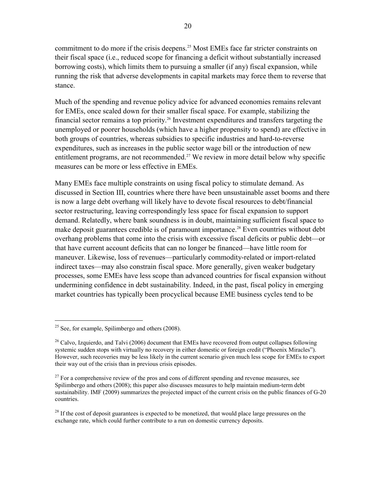commitment to do more if the crisis deepens.<sup>25</sup> Most EMEs face far stricter constraints on their fiscal space (i.e., reduced scope for financing a deficit without substantially increased borrowing costs), which limits them to pursuing a smaller (if any) fiscal expansion, while running the risk that adverse developments in capital markets may force them to reverse that stance.

Much of the spending and revenue policy advice for advanced economies remains relevant for EMEs, once scaled down for their smaller fiscal space. For example, stabilizing the financial sector remains a top priority.26 Investment expenditures and transfers targeting the unemployed or poorer households (which have a higher propensity to spend) are effective in both groups of countries, whereas subsidies to specific industries and hard-to-reverse expenditures, such as increases in the public sector wage bill or the introduction of new entitlement programs, are not recommended.<sup>27</sup> We review in more detail below why specific measures can be more or less effective in EMEs.

Many EMEs face multiple constraints on using fiscal policy to stimulate demand. As discussed in Section III, countries where there have been unsustainable asset booms and there is now a large debt overhang will likely have to devote fiscal resources to debt/financial sector restructuring, leaving correspondingly less space for fiscal expansion to support demand. Relatedly, where bank soundness is in doubt, maintaining sufficient fiscal space to make deposit guarantees credible is of paramount importance.<sup>28</sup> Even countries without debt overhang problems that come into the crisis with excessive fiscal deficits or public debt—or that have current account deficits that can no longer be financed—have little room for maneuver. Likewise, loss of revenues—particularly commodity-related or import-related indirect taxes—may also constrain fiscal space. More generally, given weaker budgetary processes, some EMEs have less scope than advanced countries for fiscal expansion without undermining confidence in debt sustainability. Indeed, in the past, fiscal policy in emerging market countries has typically been procyclical because EME business cycles tend to be

 $25$  See, for example, Spilimbergo and others (2008).

<sup>&</sup>lt;sup>26</sup> Calvo, Izquierdo, and Talvi (2006) document that EMEs have recovered from output collapses following systemic sudden stops with virtually no recovery in either domestic or foreign credit ("Phoenix Miracles"). However, such recoveries may be less likely in the current scenario given much less scope for EMEs to export their way out of the crisis than in previous crisis episodes.

 $27$  For a comprehensive review of the pros and cons of different spending and revenue measures, see Spilimbergo and others (2008); this paper also discusses measures to help maintain medium-term debt sustainability. IMF (2009) summarizes the projected impact of the current crisis on the public finances of G-20 countries.

<sup>&</sup>lt;sup>28</sup> If the cost of deposit guarantees is expected to be monetized, that would place large pressures on the exchange rate, which could further contribute to a run on domestic currency deposits.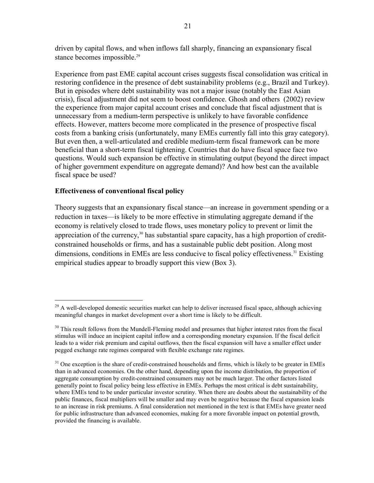driven by capital flows, and when inflows fall sharply, financing an expansionary fiscal stance becomes impossible.<sup>29</sup>

Experience from past EME capital account crises suggests fiscal consolidation was critical in restoring confidence in the presence of debt sustainability problems (e.g., Brazil and Turkey). But in episodes where debt sustainability was not a major issue (notably the East Asian crisis), fiscal adjustment did not seem to boost confidence. Ghosh and others (2002) review the experience from major capital account crises and conclude that fiscal adjustment that is unnecessary from a medium-term perspective is unlikely to have favorable confidence effects. However, matters become more complicated in the presence of prospective fiscal costs from a banking crisis (unfortunately, many EMEs currently fall into this gray category). But even then, a well-articulated and credible medium-term fiscal framework can be more beneficial than a short-term fiscal tightening. Countries that do have fiscal space face two questions. Would such expansion be effective in stimulating output (beyond the direct impact of higher government expenditure on aggregate demand)? And how best can the available fiscal space be used?

# **Effectiveness of conventional fiscal policy**

1

Theory suggests that an expansionary fiscal stance—an increase in government spending or a reduction in taxes—is likely to be more effective in stimulating aggregate demand if the economy is relatively closed to trade flows, uses monetary policy to prevent or limit the appreciation of the currency, $30$  has substantial spare capacity, has a high proportion of creditconstrained households or firms, and has a sustainable public debt position. Along most dimensions, conditions in EMEs are less conducive to fiscal policy effectiveness.<sup>31</sup> Existing empirical studies appear to broadly support this view (Box 3).

 $^{29}$  A well-developed domestic securities market can help to deliver increased fiscal space, although achieving meaningful changes in market development over a short time is likely to be difficult.

<sup>&</sup>lt;sup>30</sup> This result follows from the Mundell-Fleming model and presumes that higher interest rates from the fiscal stimulus will induce an incipient capital inflow and a corresponding monetary expansion. If the fiscal deficit leads to a wider risk premium and capital outflows, then the fiscal expansion will have a smaller effect under pegged exchange rate regimes compared with flexible exchange rate regimes.

<sup>&</sup>lt;sup>31</sup> One exception is the share of credit-constrained households and firms, which is likely to be greater in EMEs than in advanced economies. On the other hand, depending upon the income distribution, the proportion of aggregate consumption by credit-constrained consumers may not be much larger. The other factors listed generally point to fiscal policy being less effective in EMEs. Perhaps the most critical is debt sustainability, where EMEs tend to be under particular investor scrutiny. When there are doubts about the sustainability of the public finances, fiscal multipliers will be smaller and may even be negative because the fiscal expansion leads to an increase in risk premiums. A final consideration not mentioned in the text is that EMEs have greater need for public infrastructure than advanced economies, making for a more favorable impact on potential growth, provided the financing is available.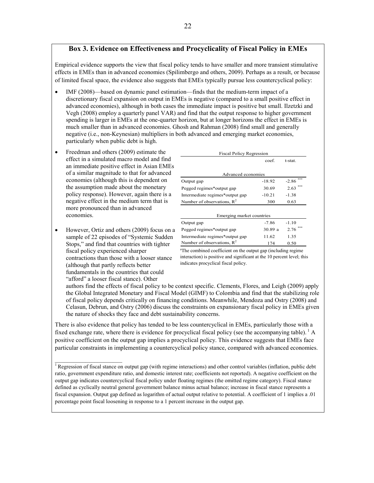# **Box 3. Evidence on Effectiveness and Procyclicality of Fiscal Policy in EMEs**

Empirical evidence supports the view that fiscal policy tends to have smaller and more transient stimulative effects in EMEs than in advanced economies (Spilimbergo and others, 2009). Perhaps as a result, or because of limited fiscal space, the evidence also suggests that EMEs typically pursue less countercyclical policy:

- IMF (2008)—based on dynamic panel estimation—finds that the medium-term impact of a discretionary fiscal expansion on output in EMEs is negative (compared to a small positive effect in advanced economies), although in both cases the immediate impact is positive but small. Ilzetzki and Vegh (2008) employ a quarterly panel VAR) and find that the output response to higher government spending is larger in EMEs at the one-quarter horizon, but at longer horizons the effect in EMEs is much smaller than in advanced economies. Ghosh and Rahman (2008) find small and generally negative (i.e., non-Keynesian) multipliers in both advanced and emerging market economies, particularly when public debt is high.
- Freedman and others (2009) estimate the effect in a simulated macro model and find an immediate positive effect in Asian EMEs of a similar magnitude to that for advanced economies (although this is dependent on the assumption made about the monetary policy response). However, again there is a negative effect in the medium term that is more pronounced than in advanced economies.
- However, Ortiz and others (2009) focus on a sample of 22 episodes of "Systemic Sudden Stops," and find that countries with tighter fiscal policy experienced sharper contractions than those with a looser stance (although that partly reflects better fundamentals in the countries that could "afford" a looser fiscal stance). Other

 $\mathcal{L}_\text{max}$  , where  $\mathcal{L}_\text{max}$  , we have the set of  $\mathcal{L}_\text{max}$ 

| <b>Fiscal Policy Regression</b> |          |         |  |  |  |  |  |
|---------------------------------|----------|---------|--|--|--|--|--|
|                                 | coef.    | t-stat. |  |  |  |  |  |
|                                 |          |         |  |  |  |  |  |
| Advanced economies              |          |         |  |  |  |  |  |
| Output gap                      | $-18.92$ | $-2.86$ |  |  |  |  |  |
| Pegged regimes*output gap       | 30.69    | 2.63    |  |  |  |  |  |
| Intermediate regimes*output gap | $-10.21$ | $-1.38$ |  |  |  |  |  |
| Number of observations, $R^2$   | 300      | 0.63    |  |  |  |  |  |
|                                 |          |         |  |  |  |  |  |
| Emerging market countries       |          |         |  |  |  |  |  |
| Output gap                      | $-7.86$  | $-1.10$ |  |  |  |  |  |
| Pegged regimes*output gap       | 30.89 a  | 2.76    |  |  |  |  |  |
| Intermediate regimes*output gap | 11.62    | 1.35    |  |  |  |  |  |
| Number of observations, $R^2$   | 174      | 0.50    |  |  |  |  |  |

<sup>a</sup>The combined coefficient on the output gap (including regime interaction) is positive and significant at the 10 percent level; this indicates procyclical fiscal policy.

authors find the effects of fiscal policy to be context specific. Clements, Flores, and Leigh (2009) apply the Global Integrated Monetary and Fiscal Model (GIMF) to Colombia and find that the stabilizing role of fiscal policy depends critically on financing conditions. Meanwhile, Mendoza and Ostry (2008) and Celasun, Debrun, and Ostry (2006) discuss the constraints on expansionary fiscal policy in EMEs given the nature of shocks they face and debt sustainability concerns.

There is also evidence that policy has tended to be less countercyclical in EMEs, particularly those with a fixed exchange rate, where there is evidence for procyclical fiscal policy (see the accompanying table).  $<sup>1</sup>$  A</sup> positive coefficient on the output gap implies a procyclical policy. This evidence suggests that EMEs face particular constraints in implementing a countercyclical policy stance, compared with advanced economies.

<sup>&</sup>lt;sup>1</sup> Regression of fiscal stance on output gap (with regime interactions) and other control variables (inflation, public debt ratio, government expenditure ratio, and domestic interest rate; coefficients not reported). A negative coefficient on the output gap indicates countercyclical fiscal policy under floating regimes (the omitted regime category). Fiscal stance defined as cyclically neutral general government balance minus actual balance; increase in fiscal stance represents a fiscal expansion. Output gap defined as logarithm of actual output relative to potential. A coefficient of 1 implies a .01 percentage point fiscal loosening in response to a 1 percent increase in the output gap.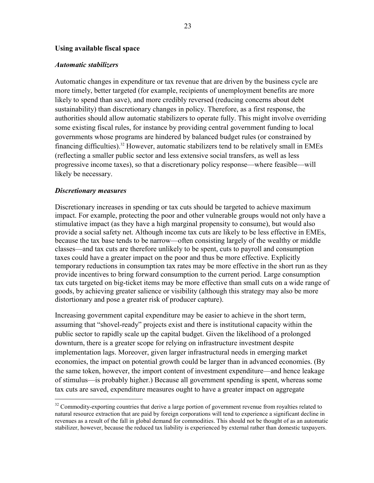#### **Using available fiscal space**

#### *Automatic stabilizers*

Automatic changes in expenditure or tax revenue that are driven by the business cycle are more timely, better targeted (for example, recipients of unemployment benefits are more likely to spend than save), and more credibly reversed (reducing concerns about debt sustainability) than discretionary changes in policy. Therefore, as a first response, the authorities should allow automatic stabilizers to operate fully. This might involve overriding some existing fiscal rules, for instance by providing central government funding to local governments whose programs are hindered by balanced budget rules (or constrained by financing difficulties).32 However, automatic stabilizers tend to be relatively small in EMEs (reflecting a smaller public sector and less extensive social transfers, as well as less progressive income taxes), so that a discretionary policy response—where feasible—will likely be necessary.

#### *Discretionary measures*

 $\overline{a}$ 

Discretionary increases in spending or tax cuts should be targeted to achieve maximum impact. For example, protecting the poor and other vulnerable groups would not only have a stimulative impact (as they have a high marginal propensity to consume), but would also provide a social safety net. Although income tax cuts are likely to be less effective in EMEs, because the tax base tends to be narrow—often consisting largely of the wealthy or middle classes—and tax cuts are therefore unlikely to be spent, cuts to payroll and consumption taxes could have a greater impact on the poor and thus be more effective. Explicitly temporary reductions in consumption tax rates may be more effective in the short run as they provide incentives to bring forward consumption to the current period. Large consumption tax cuts targeted on big-ticket items may be more effective than small cuts on a wide range of goods, by achieving greater salience or visibility (although this strategy may also be more distortionary and pose a greater risk of producer capture).

Increasing government capital expenditure may be easier to achieve in the short term, assuming that "shovel-ready" projects exist and there is institutional capacity within the public sector to rapidly scale up the capital budget. Given the likelihood of a prolonged downturn, there is a greater scope for relying on infrastructure investment despite implementation lags. Moreover, given larger infrastructural needs in emerging market economies, the impact on potential growth could be larger than in advanced economies. (By the same token, however, the import content of investment expenditure—and hence leakage of stimulus—is probably higher.) Because all government spending is spent, whereas some tax cuts are saved, expenditure measures ought to have a greater impact on aggregate

<sup>&</sup>lt;sup>32</sup> Commodity-exporting countries that derive a large portion of government revenue from royalties related to natural resource extraction that are paid by foreign corporations will tend to experience a significant decline in revenues as a result of the fall in global demand for commodities. This should not be thought of as an automatic stabilizer, however, because the reduced tax liability is experienced by external rather than domestic taxpayers.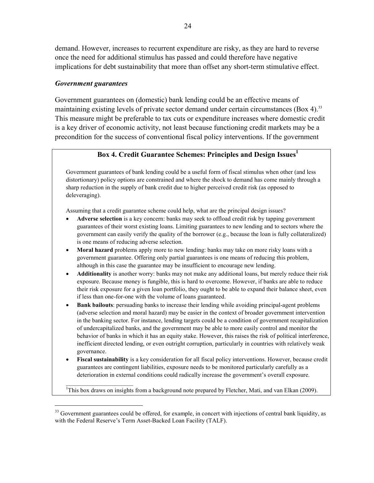demand. However, increases to recurrent expenditure are risky, as they are hard to reverse once the need for additional stimulus has passed and could therefore have negative implications for debt sustainability that more than offset any short-term stimulative effect.

# *Government guarantees*

 $\overline{a}$ 

Government guarantees on (domestic) bank lending could be an effective means of maintaining existing levels of private sector demand under certain circumstances (Box 4).<sup>33</sup> This measure might be preferable to tax cuts or expenditure increases where domestic credit is a key driver of economic activity, not least because functioning credit markets may be a precondition for the success of conventional fiscal policy interventions. If the government

# **Box 4. Credit Guarantee Schemes: Principles and Design Issues**<sup>1</sup>

Government guarantees of bank lending could be a useful form of fiscal stimulus when other (and less distortionary) policy options are constrained and where the shock to demand has come mainly through a sharp reduction in the supply of bank credit due to higher perceived credit risk (as opposed to deleveraging).

Assuming that a credit guarantee scheme could help, what are the principal design issues?

- **Adverse selection** is a key concern: banks may seek to offload credit risk by tapping government guarantees of their worst existing loans. Limiting guarantees to new lending and to sectors where the government can easily verify the quality of the borrower (e.g., because the loan is fully collateralized) is one means of reducing adverse selection.
- **Moral hazard** problems apply more to new lending: banks may take on more risky loans with a government guarantee. Offering only partial guarantees is one means of reducing this problem, although in this case the guarantee may be insufficient to encourage new lending.
- **Additionality** is another worry: banks may not make any additional loans, but merely reduce their risk exposure. Because money is fungible, this is hard to overcome. However, if banks are able to reduce their risk exposure for a given loan portfolio, they ought to be able to expand their balance sheet, even if less than one-for-one with the volume of loans guaranteed.
- **Bank bailouts**: persuading banks to increase their lending while avoiding principal-agent problems (adverse selection and moral hazard) may be easier in the context of broader government intervention in the banking sector. For instance, lending targets could be a condition of government recapitalization of undercapitalized banks, and the government may be able to more easily control and monitor the behavior of banks in which it has an equity stake. However, this raises the risk of political interference, inefficient directed lending, or even outright corruption, particularly in countries with relatively weak governance.
- **Fiscal sustainability** is a key consideration for all fiscal policy interventions. However, because credit guarantees are contingent liabilities, exposure needs to be monitored particularly carefully as a deterioration in external conditions could radically increase the government's overall exposure.

<sup>1</sup>This box draws on insights from a background note prepared by Fletcher, Mati, and van Elkan (2009).

<sup>&</sup>lt;sup>33</sup> Government guarantees could be offered, for example, in concert with injections of central bank liquidity, as with the Federal Reserve's Term Asset-Backed Loan Facility (TALF).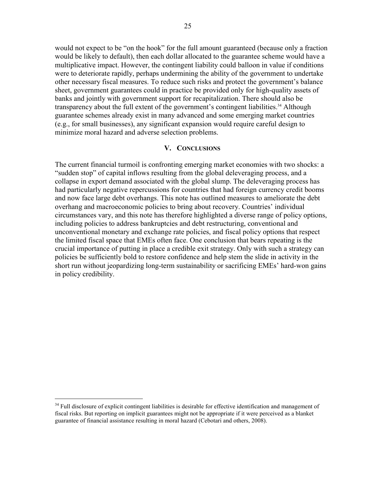would not expect to be "on the hook" for the full amount guaranteed (because only a fraction would be likely to default), then each dollar allocated to the guarantee scheme would have a multiplicative impact. However, the contingent liability could balloon in value if conditions were to deteriorate rapidly, perhaps undermining the ability of the government to undertake other necessary fiscal measures. To reduce such risks and protect the government's balance sheet, government guarantees could in practice be provided only for high-quality assets of banks and jointly with government support for recapitalization. There should also be transparency about the full extent of the government's contingent liabilities.<sup>34</sup> Although guarantee schemes already exist in many advanced and some emerging market countries (e.g., for small businesses), any significant expansion would require careful design to minimize moral hazard and adverse selection problems.

#### **V. CONCLUSIONS**

The current financial turmoil is confronting emerging market economies with two shocks: a "sudden stop" of capital inflows resulting from the global deleveraging process, and a collapse in export demand associated with the global slump. The deleveraging process has had particularly negative repercussions for countries that had foreign currency credit booms and now face large debt overhangs. This note has outlined measures to ameliorate the debt overhang and macroeconomic policies to bring about recovery. Countries' individual circumstances vary, and this note has therefore highlighted a diverse range of policy options, including policies to address bankruptcies and debt restructuring, conventional and unconventional monetary and exchange rate policies, and fiscal policy options that respect the limited fiscal space that EMEs often face. One conclusion that bears repeating is the crucial importance of putting in place a credible exit strategy. Only with such a strategy can policies be sufficiently bold to restore confidence and help stem the slide in activity in the short run without jeopardizing long-term sustainability or sacrificing EMEs' hard-won gains in policy credibility.

1

 $34$  Full disclosure of explicit contingent liabilities is desirable for effective identification and management of fiscal risks. But reporting on implicit guarantees might not be appropriate if it were perceived as a blanket guarantee of financial assistance resulting in moral hazard (Cebotari and others, 2008).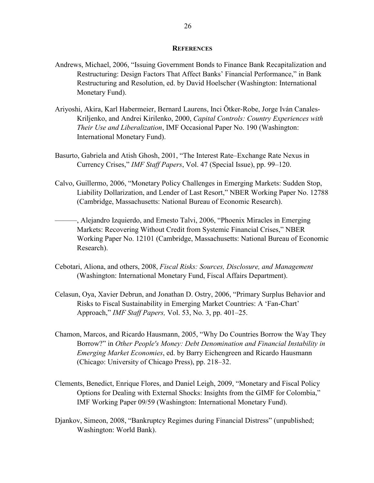#### **REFERENCES**

- Andrews, Michael, 2006, "Issuing Government Bonds to Finance Bank Recapitalization and Restructuring: Design Factors That Affect Banks' Financial Performance," in Bank Restructuring and Resolution, ed. by David Hoelscher (Washington: International Monetary Fund).
- Ariyoshi, Akira, Karl Habermeier, Bernard Laurens, Inci Ötker-Robe, Jorge Iván Canales-Kriljenko, and Andrei Kirilenko, 2000, *Capital Controls: Country Experiences with Their Use and Liberalization*, IMF Occasional Paper No. 190 (Washington: International Monetary Fund).
- Basurto, Gabriela and Atish Ghosh, 2001, "The Interest Rate–Exchange Rate Nexus in Currency Crises," *IMF Staff Papers*, Vol. 47 (Special Issue), pp. 99–120.
- Calvo, Guillermo, 2006, "Monetary Policy Challenges in Emerging Markets: Sudden Stop, Liability Dollarization, and Lender of Last Resort," NBER Working Paper No. 12788 (Cambridge, Massachusetts: National Bureau of Economic Research).
	- ———, Alejandro Izquierdo, and Ernesto Talvi, 2006, "Phoenix Miracles in Emerging Markets: Recovering Without Credit from Systemic Financial Crises," NBER Working Paper No. 12101 (Cambridge, Massachusetts: National Bureau of Economic Research).
- Cebotari, Aliona, and others, 2008, *Fiscal Risks: Sources, Disclosure, and Management*  (Washington: International Monetary Fund, Fiscal Affairs Department).
- Celasun, Oya, Xavier Debrun, and Jonathan D. Ostry, 2006, "Primary Surplus Behavior and Risks to Fiscal Sustainability in Emerging Market Countries: A 'Fan-Chart' Approach," *IMF Staff Papers,* Vol. 53, No. 3, pp. 401–25.
- Chamon, Marcos, and Ricardo Hausmann, 2005, "Why Do Countries Borrow the Way They Borrow?" in *Other People's Money: Debt Denomination and Financial Instability in Emerging Market Economies*, ed. by Barry Eichengreen and Ricardo Hausmann (Chicago: University of Chicago Press), pp. 218–32.
- Clements, Benedict, Enrique Flores, and Daniel Leigh, 2009, "Monetary and Fiscal Policy Options for Dealing with External Shocks: Insights from the GIMF for Colombia," IMF Working Paper 09/59 (Washington: International Monetary Fund).
- Djankov, Simeon, 2008, "Bankruptcy Regimes during Financial Distress" (unpublished; Washington: World Bank).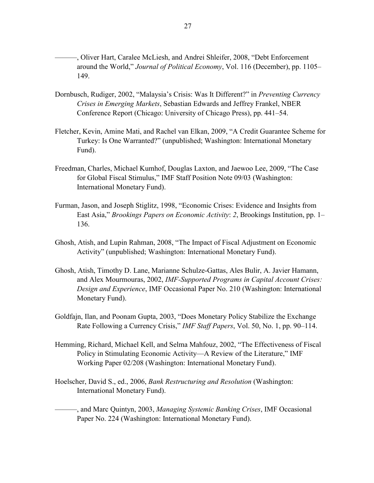- ———, Oliver Hart, Caralee McLiesh, and Andrei Shleifer, 2008, "Debt Enforcement around the World," *Journal of Political Economy*, Vol. 116 (December), pp. 1105– 149.
- Dornbusch, Rudiger, 2002, "Malaysia's Crisis: Was It Different?" in *Preventing Currency Crises in Emerging Markets*, Sebastian Edwards and Jeffrey Frankel, NBER Conference Report (Chicago: University of Chicago Press), pp. 441–54.
- Fletcher, Kevin, Amine Mati, and Rachel van Elkan, 2009, "A Credit Guarantee Scheme for Turkey: Is One Warranted?" (unpublished; Washington: International Monetary Fund).
- Freedman, Charles, Michael Kumhof, Douglas Laxton, and Jaewoo Lee, 2009, "The Case for Global Fiscal Stimulus," IMF Staff Position Note 09/03 (Washington: International Monetary Fund).
- Furman, Jason, and Joseph Stiglitz, 1998, "Economic Crises: Evidence and Insights from East Asia," *Brookings Papers on Economic Activity*: *2*, Brookings Institution, pp. 1– 136.
- Ghosh, Atish, and Lupin Rahman, 2008, "The Impact of Fiscal Adjustment on Economic Activity" (unpublished; Washington: International Monetary Fund).
- Ghosh, Atish, Timothy D. Lane, Marianne Schulze-Gattas, Ales Bulir, A. Javier Hamann, and Alex Mourmouras, 2002, *IMF-Supported Programs in Capital Account Crises: Design and Experience*, IMF Occasional Paper No. 210 (Washington: International Monetary Fund).
- Goldfajn, Ilan, and Poonam Gupta, 2003, "Does Monetary Policy Stabilize the Exchange Rate Following a Currency Crisis," *IMF Staff Papers*, Vol. 50, No. 1, pp. 90–114.
- Hemming, Richard, Michael Kell, and Selma Mahfouz, 2002, "The Effectiveness of Fiscal Policy in Stimulating Economic Activity—A Review of the Literature," IMF Working Paper 02/208 (Washington: International Monetary Fund).
- Hoelscher, David S., ed., 2006, *Bank Restructuring and Resolution* (Washington: International Monetary Fund).
	- ———, and Marc Quintyn, 2003, *Managing Systemic Banking Crises*, IMF Occasional Paper No. 224 (Washington: International Monetary Fund).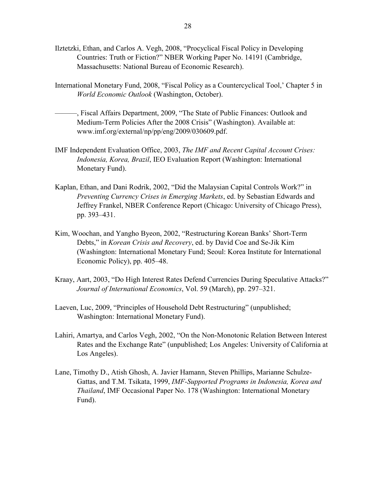- Ilztetzki, Ethan, and Carlos A. Vegh, 2008, "Procyclical Fiscal Policy in Developing Countries: Truth or Fiction?" NBER Working Paper No. 14191 (Cambridge, Massachusetts: National Bureau of Economic Research).
- International Monetary Fund, 2008, "Fiscal Policy as a Countercyclical Tool,' Chapter 5 in *World Economic Outlook* (Washington, October).
- ———, Fiscal Affairs Department, 2009, "The State of Public Finances: Outlook and Medium-Term Policies After the 2008 Crisis" (Washington). Available at: www.imf.org/external/np/pp/eng/2009/030609.pdf.
- IMF Independent Evaluation Office, 2003, *The IMF and Recent Capital Account Crises: Indonesia, Korea, Brazil*, IEO Evaluation Report (Washington: International Monetary Fund).
- Kaplan, Ethan, and Dani Rodrik, 2002, "Did the Malaysian Capital Controls Work?" in *Preventing Currency Crises in Emerging Markets*, ed. by Sebastian Edwards and Jeffrey Frankel, NBER Conference Report (Chicago: University of Chicago Press), pp. 393–431.
- Kim, Woochan, and Yangho Byeon, 2002, "Restructuring Korean Banks' Short-Term Debts," in *Korean Crisis and Recovery*, ed. by David Coe and Se-Jik Kim (Washington: International Monetary Fund; Seoul: Korea Institute for International Economic Policy), pp. 405–48.
- Kraay, Aart, 2003, "Do High Interest Rates Defend Currencies During Speculative Attacks?" *Journal of International Economics*, Vol. 59 (March), pp. 297–321.
- Laeven, Luc, 2009, "Principles of Household Debt Restructuring" (unpublished; Washington: International Monetary Fund).
- Lahiri, Amartya, and Carlos Vegh, 2002, "On the Non-Monotonic Relation Between Interest Rates and the Exchange Rate" (unpublished; Los Angeles: University of California at Los Angeles).
- Lane, Timothy D., Atish Ghosh, A. Javier Hamann, Steven Phillips, Marianne Schulze-Gattas, and T.M. Tsikata, 1999, *IMF-Supported Programs in Indonesia, Korea and Thailand*, IMF Occasional Paper No. 178 (Washington: International Monetary Fund).